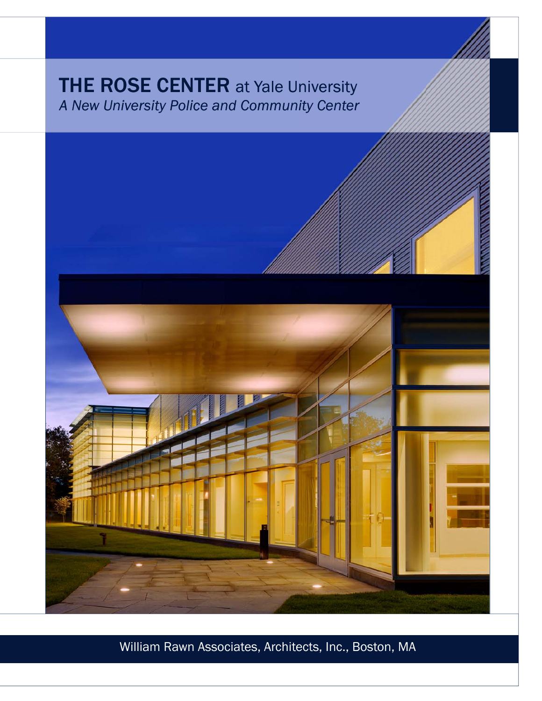# **THE ROSE CENTER at Yale University** *A New University Police and Community Center*



William Rawn Associates, Architects, Inc., Boston, MA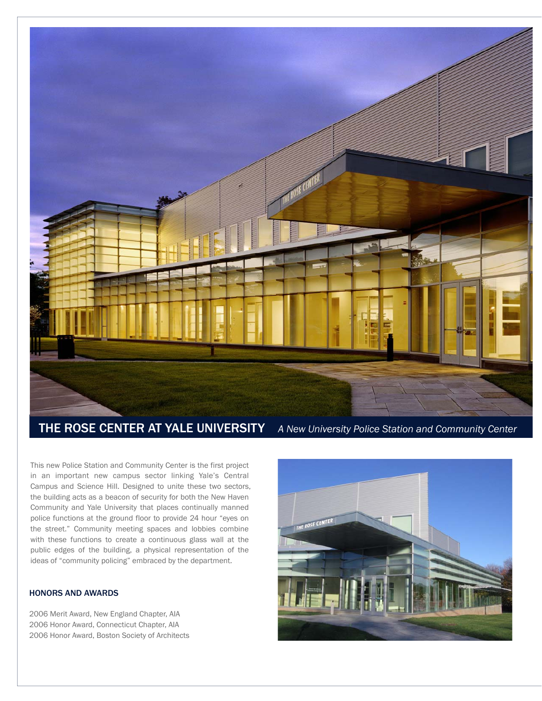

THE ROSE CENTER AT YALE UNIVERSITY *A New University Police Station and Community Center* 

This new Police Station and Community Center is the first project in an important new campus sector linking Yale's Central Campus and Science Hill. Designed to unite these two sectors, the building acts as a beacon of security for both the New Haven Community and Yale University that places continually manned police functions at the ground floor to provide 24 hour "eyes on the street." Community meeting spaces and lobbies combine with these functions to create a continuous glass wall at the public edges of the building, a physical representation of the ideas of "community policing" embraced by the department.

## HONORS AND AWARDS

2006 Merit Award, New England Chapter, AIA 2006 Honor Award, Connecticut Chapter, AIA 2006 Honor Award, Boston Society of Architects

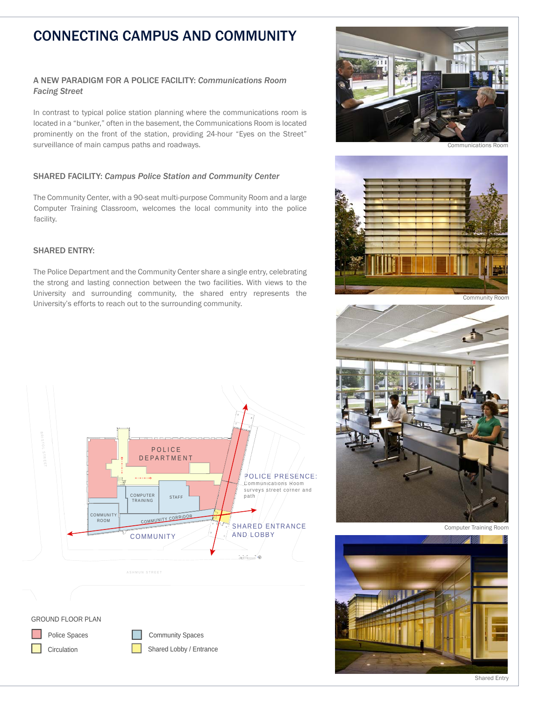# CONNECTING CAMPUS AND COMMUNITY

# A NEW PARADIGM FOR A POLICE FACILITY: *Communications Room Facing Street*

In contrast to typical police station planning where the communications room is located in a "bunker," often in the basement, the Communications Room is located prominently on the front of the station, providing 24-hour "Eyes on the Street" surveillance of main campus paths and roadways.

### SHARED FACILITY: *Campus Police Station and Community Center*

The Community Center, with a 90-seat multi-purpose Community Room and a large Computer Training Classroom, welcomes the local community into the police facility.

# SHARED ENTRY:

The Police Department and the Community Center share a single entry, celebrating the strong and lasting connection between the two facilities. With views to the University and surrounding community, the shared entry represents the University's efforts to reach out to the surrounding community.



Police Spaces **Community Spaces** Circulation Shared Lobby / Entrance



Communications Room



Community Room